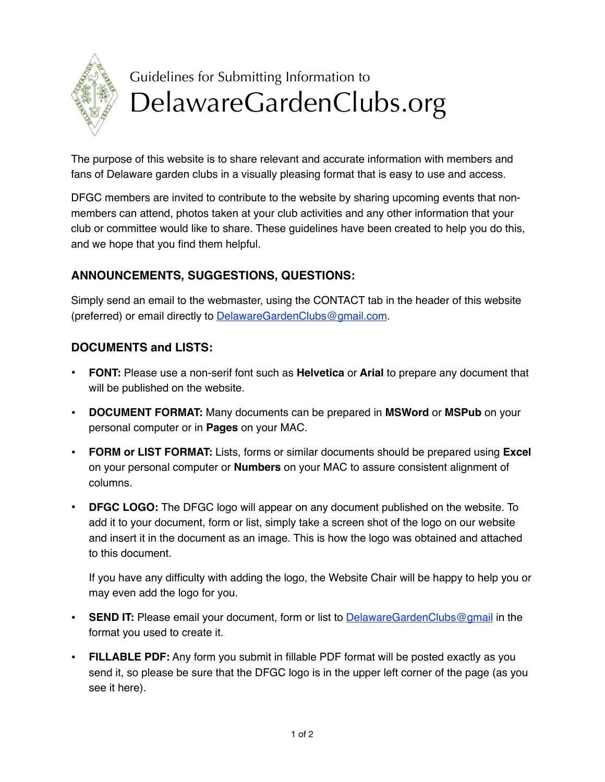

## Guidelines for Submitting Information to DelawareGardenClubs.org

The purpose of this website is to share relevant and accurate information with members and fans of Delaware garden clubs in a visually pleasing format that is easy to use and access.

DFGC members are invited to contribute to the website by sharing upcoming events that nonmembers can attend, photos taken at your club activities and any other information that your club or committee would like to share. These guidelines have been created to help you do this, and we hope that you find them helpful.

## **ANNOUNCEMENTS, SUGGESTIONS, QUESTIONS:**

Simply send an email to the webmaster, using the CONTACT tab in the header of this website (preferred) or email directly to [DelawareGardenClubs@gmail.com.](mailto:DelawareGardenClubs@gmail.com)

## **DOCUMENTS and LISTS:**

- **FONT:** Please use a non-serif font such as **Helvetica** or **Arial** to prepare any document that will be published on the website.
- **DOCUMENT FORMAT:** Many documents can be prepared in **MSWord** or **MSPub** on your personal computer or in **Pages** on your MAC.
- **FORM or LIST FORMAT:** Lists, forms or similar documents should be prepared using **Excel** on your personal computer or **Numbers** on your MAC to assure consistent alignment of columns.
- **DFGC LOGO:** The DFGC logo will appear on any document published on the website. To add it to your document, form or list, simply take a screen shot of the logo on our website and insert it in the document as an image. This is how the logo was obtained and attached to this document.

If you have any difficulty with adding the logo, the Website Chair will be happy to help you or may even add the logo for you.

- **SEND IT:** Please email your document, form or list to **DelawareGardenClubs@gmail** in the format you used to create it.
- **FILLABLE PDF:** Any form you submit in fillable PDF format will be posted exactly as you send it, so please be sure that the DFGC logo is in the upper left corner of the page (as you see it here).